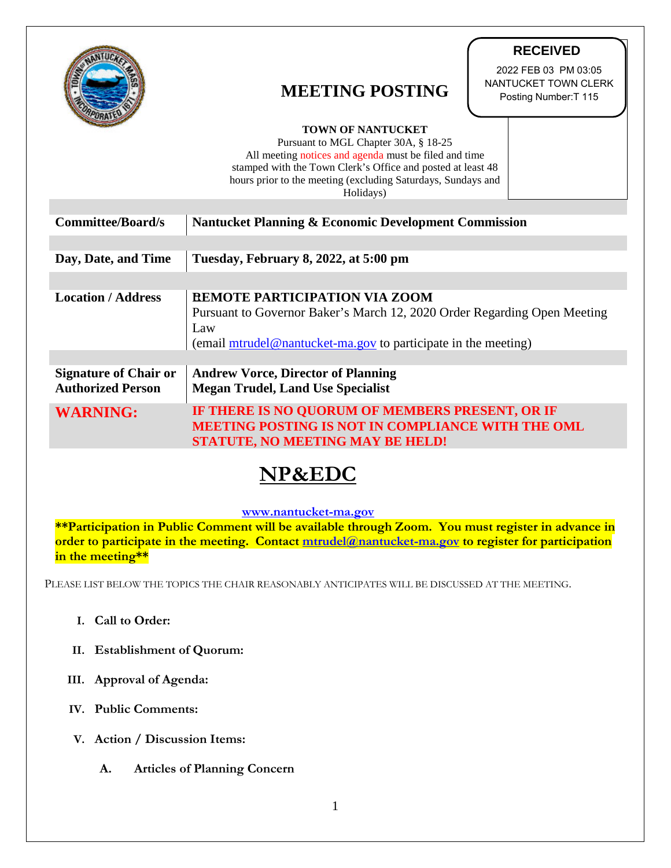|                                                          | <b>RECEIVED</b><br>2022 FEB 03 PM 03:05<br>NANTUCKET TOWN CLERK<br><b>MEETING POSTING</b><br>Posting Number: T 115<br><b>TOWN OF NANTUCKET</b><br>Pursuant to MGL Chapter 30A, § 18-25<br>All meeting notices and agenda must be filed and time<br>stamped with the Town Clerk's Office and posted at least 48<br>hours prior to the meeting (excluding Saturdays, Sundays and<br>Holidays) |
|----------------------------------------------------------|---------------------------------------------------------------------------------------------------------------------------------------------------------------------------------------------------------------------------------------------------------------------------------------------------------------------------------------------------------------------------------------------|
| <b>Committee/Board/s</b>                                 | <b>Nantucket Planning &amp; Economic Development Commission</b>                                                                                                                                                                                                                                                                                                                             |
| Day, Date, and Time                                      | Tuesday, February 8, 2022, at 5:00 pm                                                                                                                                                                                                                                                                                                                                                       |
| <b>Location / Address</b>                                | <b>REMOTE PARTICIPATION VIA ZOOM</b><br>Pursuant to Governor Baker's March 12, 2020 Order Regarding Open Meeting<br>Law<br>(email mtrudel@nantucket-ma.gov to participate in the meeting)                                                                                                                                                                                                   |
| <b>Signature of Chair or</b><br><b>Authorized Person</b> | <b>Andrew Vorce, Director of Planning</b><br><b>Megan Trudel, Land Use Specialist</b>                                                                                                                                                                                                                                                                                                       |
| <b>WARNING:</b>                                          | IF THERE IS NO QUORUM OF MEMBERS PRESENT, OR IF<br>MEETING POSTING IS NOT IN COMPLIANCE WITH THE OML<br><b>STATUTE, NO MEETING MAY BE HELD!</b>                                                                                                                                                                                                                                             |

## **NP&EDC**

## **[www.nantucket-ma.gov](http://www.nantucket-ma.gov/)**

**\*\*Participation in Public Comment will be available through Zoom. You must register in advance in order to participate in the meeting. Contact [mtrudel@nantucket-ma.gov](mailto:mtrudel@nantucket-ma.gov) to register for participation in the meeting\*\***

PLEASE LIST BELOW THE TOPICS THE CHAIR REASONABLY ANTICIPATES WILL BE DISCUSSED AT THE MEETING.

- **I. Call to Order:**
- **II. Establishment of Quorum:**
- **III. Approval of Agenda:**
- **IV. Public Comments:**
- **V. Action / Discussion Items:**
	- **A. Articles of Planning Concern**